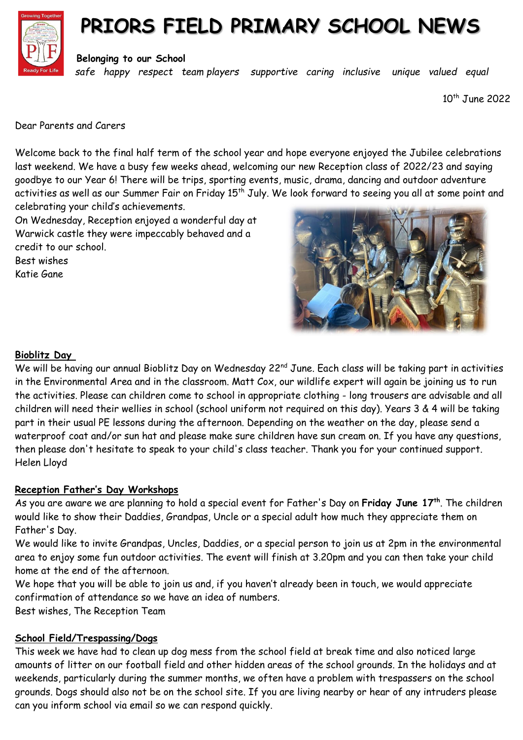

## **PRIORS FIELD PRIMARY SCHOOL NEWS**

**Belonging to our School**

*safe happy respect team players supportive caring inclusive unique valued equal*

10th June 2022

Dear Parents and Carers

Welcome back to the final half term of the school year and hope everyone enjoyed the Jubilee celebrations last weekend. We have a busy few weeks ahead, welcoming our new Reception class of 2022/23 and saying goodbye to our Year 6! There will be trips, sporting events, music, drama, dancing and outdoor adventure activities as well as our Summer Fair on Friday 15<sup>th</sup> July. We look forward to seeing you all at some point and celebrating your child's achievements.

On Wednesday, Reception enjoyed a wonderful day at Warwick castle they were impeccably behaved and a credit to our school.

Best wishes Katie Gane



## **Bioblitz Day**

We will be having our annual Bioblitz Day on Wednesday 22<sup>nd</sup> June. Each class will be taking part in activities in the Environmental Area and in the classroom. Matt Cox, our wildlife expert will again be joining us to run the activities. Please can children come to school in appropriate clothing - long trousers are advisable and all children will need their wellies in school (school uniform not required on this day). Years 3 & 4 will be taking part in their usual PE lessons during the afternoon. Depending on the weather on the day, please send a waterproof coat and/or sun hat and please make sure children have sun cream on. If you have any questions, then please don't hesitate to speak to your child's class teacher. Thank you for your continued support. Helen Lloyd

## **Reception Father's Day Workshops**

As you are aware we are planning to hold a special event for Father's Day on **Friday June 17th** . The children would like to show their Daddies, Grandpas, Uncle or a special adult how much they appreciate them on Father's Day.

We would like to invite Grandpas, Uncles, Daddies, or a special person to join us at 2pm in the environmental area to enjoy some fun outdoor activities. The event will finish at 3.20pm and you can then take your child home at the end of the afternoon.

We hope that you will be able to join us and, if you haven't already been in touch, we would appreciate confirmation of attendance so we have an idea of numbers.

Best wishes, The Reception Team

## **School Field/Trespassing/Dogs**

This week we have had to clean up dog mess from the school field at break time and also noticed large amounts of litter on our football field and other hidden areas of the school grounds. In the holidays and at weekends, particularly during the summer months, we often have a problem with trespassers on the school grounds. Dogs should also not be on the school site. If you are living nearby or hear of any intruders please can you inform school via email so we can respond quickly.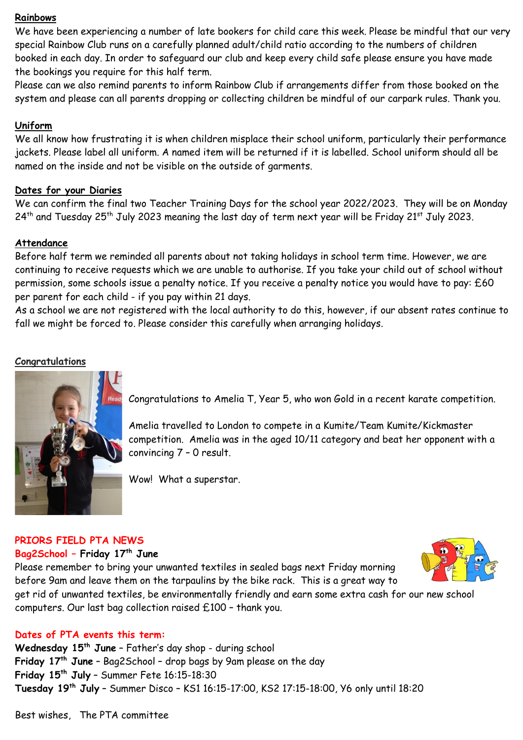#### **Rainbows**

We have been experiencing a number of late bookers for child care this week. Please be mindful that our very special Rainbow Club runs on a carefully planned adult/child ratio according to the numbers of children booked in each day. In order to safeguard our club and keep every child safe please ensure you have made the bookings you require for this half term.

Please can we also remind parents to inform Rainbow Club if arrangements differ from those booked on the system and please can all parents dropping or collecting children be mindful of our carpark rules. Thank you.

### **Uniform**

We all know how frustrating it is when children misplace their school uniform, particularly their performance jackets. Please label all uniform. A named item will be returned if it is labelled. School uniform should all be named on the inside and not be visible on the outside of garments.

#### **Dates for your Diaries**

We can confirm the final two Teacher Training Days for the school year 2022/2023. They will be on Monday  $24$ <sup>th</sup> and Tuesday 25<sup>th</sup> July 2023 meaning the last day of term next year will be Friday 21<sup>st</sup> July 2023.

#### **Attendance**

Before half term we reminded all parents about not taking holidays in school term time. However, we are continuing to receive requests which we are unable to authorise. If you take your child out of school without permission, some schools issue a penalty notice. If you receive a penalty notice you would have to pay: £60 per parent for each child - if you pay within 21 days.

As a school we are not registered with the local authority to do this, however, if our absent rates continue to fall we might be forced to. Please consider this carefully when arranging holidays.

#### **Congratulations**



Congratulations to Amelia T, Year 5, who won Gold in a recent karate competition.

Amelia travelled to London to compete in a Kumite/Team Kumite/Kickmaster competition. Amelia was in the aged 10/11 category and beat her opponent with a convincing 7 – 0 result.

Wow! What a superstar.

#### **PRIORS FIELD PTA NEWS**

#### **Bag2School – Friday 17th June**

Please remember to bring your unwanted textiles in sealed bags next Friday morning before 9am and leave them on the tarpaulins by the bike rack. This is a great way to



get rid of unwanted textiles, be environmentally friendly and earn some extra cash for our new school computers. Our last bag collection raised £100 – thank you.

#### **Dates of PTA events this term:**

**Wednesday 15th June** – Father's day shop - during school **Friday 17th June** – Bag2School – drop bags by 9am please on the day **Friday 15th July** – Summer Fete 16:15-18:30 **Tuesday 19th July** – Summer Disco – KS1 16:15-17:00, KS2 17:15-18:00, Y6 only until 18:20

Best wishes, The PTA committee